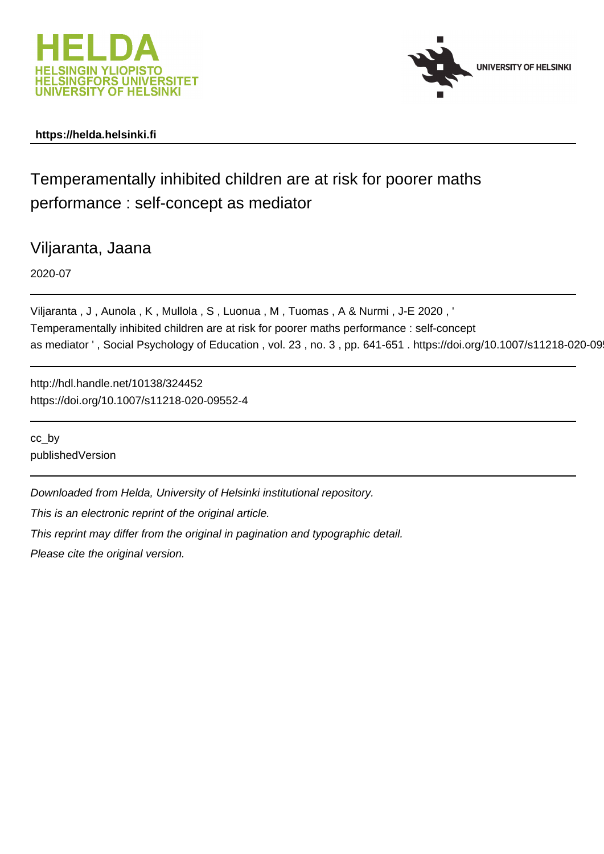



# **https://helda.helsinki.fi**

# Temperamentally inhibited children are at risk for poorer maths performance : self-concept as mediator

Viljaranta, Jaana

2020-07

Viljaranta , J , Aunola , K , Mullola , S , Luonua , M , Tuomas , A & Nurmi , J-E 2020 , ' Temperamentally inhibited children are at risk for poorer maths performance : self-concept as mediator ', Social Psychology of Education, vol. 23, no. 3, pp. 641-651. https://doi.org/10.1007/s11218-020-09

http://hdl.handle.net/10138/324452 https://doi.org/10.1007/s11218-020-09552-4

cc\_by publishedVersion

Downloaded from Helda, University of Helsinki institutional repository.

This is an electronic reprint of the original article.

This reprint may differ from the original in pagination and typographic detail.

Please cite the original version.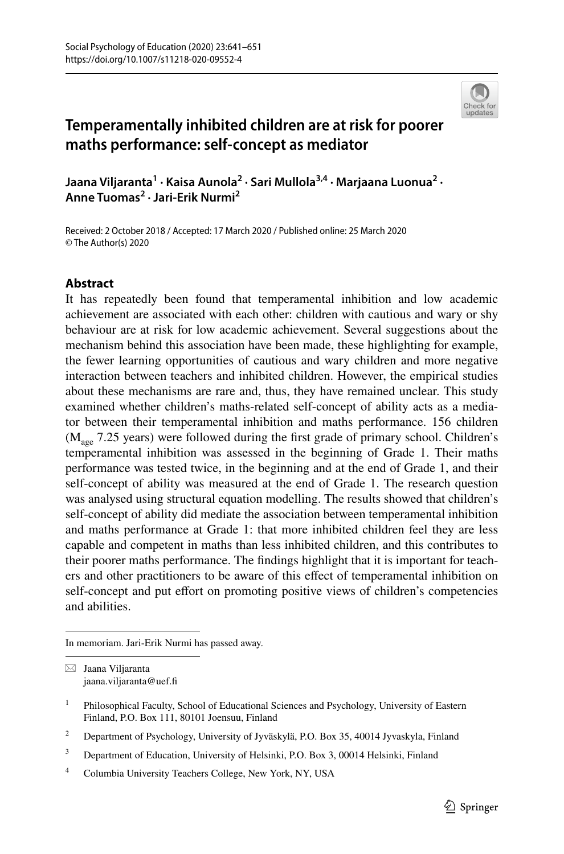

# **Temperamentally inhibited children are at risk for poorer maths performance: self‑concept as mediator**

**Jaana Viljaranta<sup>1</sup> · Kaisa Aunola2 · Sari Mullola3,4 · Marjaana Luonua2 · Anne Tuomas<sup>2</sup> · Jari‑Erik Nurmi2**

Received: 2 October 2018 / Accepted: 17 March 2020 / Published online: 25 March 2020 © The Author(s) 2020

# **Abstract**

It has repeatedly been found that temperamental inhibition and low academic achievement are associated with each other: children with cautious and wary or shy behaviour are at risk for low academic achievement. Several suggestions about the mechanism behind this association have been made, these highlighting for example, the fewer learning opportunities of cautious and wary children and more negative interaction between teachers and inhibited children. However, the empirical studies about these mechanisms are rare and, thus, they have remained unclear. This study examined whether children's maths-related self-concept of ability acts as a mediator between their temperamental inhibition and maths performance. 156 children  $(M<sub>age</sub> 7.25 years)$  were followed during the first grade of primary school. Children's temperamental inhibition was assessed in the beginning of Grade 1. Their maths performance was tested twice, in the beginning and at the end of Grade 1, and their self-concept of ability was measured at the end of Grade 1. The research question was analysed using structural equation modelling. The results showed that children's self-concept of ability did mediate the association between temperamental inhibition and maths performance at Grade 1: that more inhibited children feel they are less capable and competent in maths than less inhibited children, and this contributes to their poorer maths performance. The fndings highlight that it is important for teachers and other practitioners to be aware of this efect of temperamental inhibition on self-concept and put efort on promoting positive views of children's competencies and abilities.

In memoriam. Jari-Erik Nurmi has passed away.

 $\boxtimes$  Jaana Viljaranta jaana.viljaranta@uef.f

<sup>&</sup>lt;sup>1</sup> Philosophical Faculty, School of Educational Sciences and Psychology, University of Eastern Finland, P.O. Box 111, 80101 Joensuu, Finland

<sup>&</sup>lt;sup>2</sup> Department of Psychology, University of Jyväskylä, P.O. Box 35, 40014 Jyvaskyla, Finland

<sup>&</sup>lt;sup>3</sup> Department of Education, University of Helsinki, P.O. Box 3, 00014 Helsinki, Finland

<sup>4</sup> Columbia University Teachers College, New York, NY, USA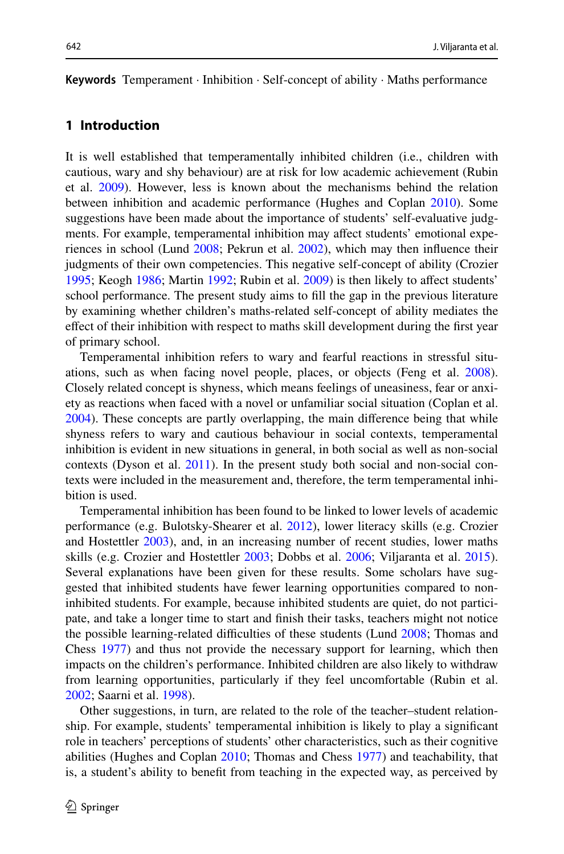**Keywords** Temperament · Inhibition · Self-concept of ability · Maths performance

# **1 Introduction**

It is well established that temperamentally inhibited children (i.e., children with cautious, wary and shy behaviour) are at risk for low academic achievement (Rubin et al. 2009). However, less is known about the mechanisms behind the relation between inhibition and academic performance (Hughes and Coplan 2010). Some suggestions have been made about the importance of students' self-evaluative judgments. For example, temperamental inhibition may affect students' emotional experiences in school (Lund 2008; Pekrun et al. 2002), which may then influence their judgments of their own competencies. This negative self-concept of ability (Crozier 1995; Keogh 1986; Martin 1992; Rubin et al. 2009) is then likely to afect students' school performance. The present study aims to fll the gap in the previous literature by examining whether children's maths-related self-concept of ability mediates the efect of their inhibition with respect to maths skill development during the frst year of primary school.

Temperamental inhibition refers to wary and fearful reactions in stressful situations, such as when facing novel people, places, or objects (Feng et al. 2008). Closely related concept is shyness, which means feelings of uneasiness, fear or anxiety as reactions when faced with a novel or unfamiliar social situation (Coplan et al. 2004). These concepts are partly overlapping, the main diference being that while shyness refers to wary and cautious behaviour in social contexts, temperamental inhibition is evident in new situations in general, in both social as well as non-social contexts (Dyson et al. 2011). In the present study both social and non-social contexts were included in the measurement and, therefore, the term temperamental inhibition is used.

Temperamental inhibition has been found to be linked to lower levels of academic performance (e.g. Bulotsky-Shearer et al. 2012), lower literacy skills (e.g. Crozier and Hostettler 2003), and, in an increasing number of recent studies, lower maths skills (e.g. Crozier and Hostettler 2003; Dobbs et al. 2006; Viljaranta et al. 2015). Several explanations have been given for these results. Some scholars have suggested that inhibited students have fewer learning opportunities compared to noninhibited students. For example, because inhibited students are quiet, do not participate, and take a longer time to start and fnish their tasks, teachers might not notice the possible learning-related difficulties of these students (Lund 2008; Thomas and Chess 1977) and thus not provide the necessary support for learning, which then impacts on the children's performance. Inhibited children are also likely to withdraw from learning opportunities, particularly if they feel uncomfortable (Rubin et al. 2002; Saarni et al. 1998).

Other suggestions, in turn, are related to the role of the teacher–student relationship. For example, students' temperamental inhibition is likely to play a signifcant role in teachers' perceptions of students' other characteristics, such as their cognitive abilities (Hughes and Coplan 2010; Thomas and Chess 1977) and teachability, that is, a student's ability to beneft from teaching in the expected way, as perceived by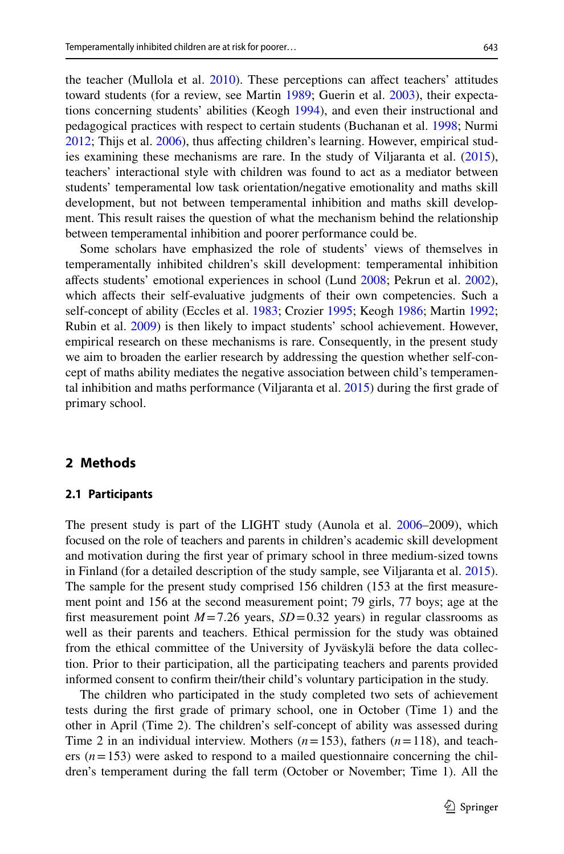the teacher (Mullola et al. 2010). These perceptions can afect teachers' attitudes toward students (for a review, see Martin 1989; Guerin et al. 2003), their expectations concerning students' abilities (Keogh 1994), and even their instructional and pedagogical practices with respect to certain students (Buchanan et al. 1998; Nurmi 2012; Thijs et al. 2006), thus afecting children's learning. However, empirical studies examining these mechanisms are rare. In the study of Viljaranta et al. (2015), teachers' interactional style with children was found to act as a mediator between students' temperamental low task orientation/negative emotionality and maths skill development, but not between temperamental inhibition and maths skill development. This result raises the question of what the mechanism behind the relationship between temperamental inhibition and poorer performance could be.

Some scholars have emphasized the role of students' views of themselves in temperamentally inhibited children's skill development: temperamental inhibition afects students' emotional experiences in school (Lund 2008; Pekrun et al. 2002), which affects their self-evaluative judgments of their own competencies. Such a self-concept of ability (Eccles et al. 1983; Crozier 1995; Keogh 1986; Martin 1992; Rubin et al. 2009) is then likely to impact students' school achievement. However, empirical research on these mechanisms is rare. Consequently, in the present study we aim to broaden the earlier research by addressing the question whether self-concept of maths ability mediates the negative association between child's temperamental inhibition and maths performance (Viljaranta et al. 2015) during the frst grade of primary school.

#### **2 Methods**

#### **2.1 Participants**

The present study is part of the LIGHT study (Aunola et al. 2006–2009), which focused on the role of teachers and parents in children's academic skill development and motivation during the frst year of primary school in three medium-sized towns in Finland (for a detailed description of the study sample, see Viljaranta et al. 2015). The sample for the present study comprised 156 children (153 at the frst measurement point and 156 at the second measurement point; 79 girls, 77 boys; age at the first measurement point  $M=7.26$  years,  $SD=0.32$  years) in regular classrooms as well as their parents and teachers. Ethical permission for the study was obtained from the ethical committee of the University of Jyväskylä before the data collection. Prior to their participation, all the participating teachers and parents provided informed consent to confrm their/their child's voluntary participation in the study.

The children who participated in the study completed two sets of achievement tests during the frst grade of primary school, one in October (Time 1) and the other in April (Time 2). The children's self-concept of ability was assessed during Time 2 in an individual interview. Mothers  $(n=153)$ , fathers  $(n=118)$ , and teachers  $(n=153)$  were asked to respond to a mailed questionnaire concerning the children's temperament during the fall term (October or November; Time 1). All the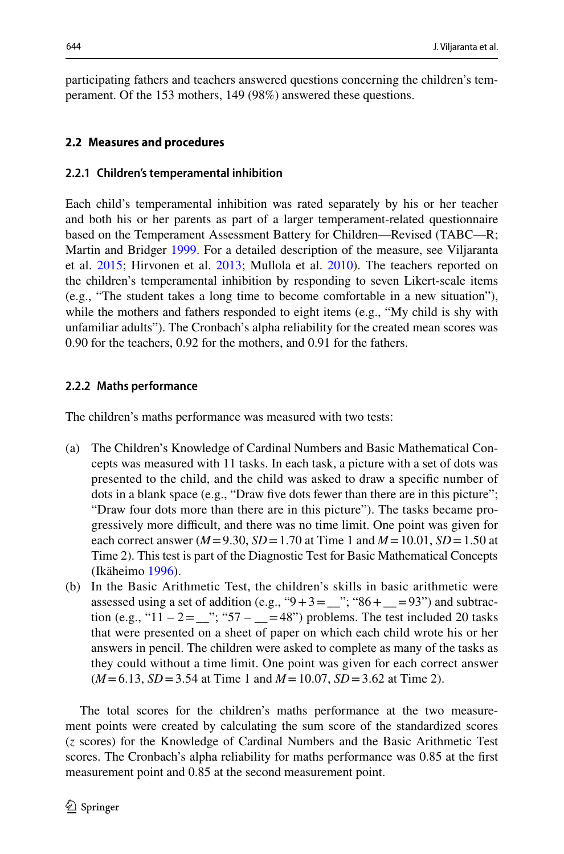participating fathers and teachers answered questions concerning the children's temperament. Of the 153 mothers, 149 (98%) answered these questions.

#### **2.2 Measures and procedures**

#### **2.2.1 Children's temperamental inhibition**

Each child's temperamental inhibition was rated separately by his or her teacher and both his or her parents as part of a larger temperament-related questionnaire based on the Temperament Assessment Battery for Children—Revised (TABC—R; Martin and Bridger 1999. For a detailed description of the measure, see Viljaranta et al. 2015; Hirvonen et al. 2013; Mullola et al. 2010). The teachers reported on the children's temperamental inhibition by responding to seven Likert-scale items (e.g., "The student takes a long time to become comfortable in a new situation"), while the mothers and fathers responded to eight items (e.g., "My child is shy with unfamiliar adults"). The Cronbach's alpha reliability for the created mean scores was 0.90 for the teachers, 0.92 for the mothers, and 0.91 for the fathers.

#### **2.2.2 Maths performance**

The children's maths performance was measured with two tests:

- (a) The Children's Knowledge of Cardinal Numbers and Basic Mathematical Concepts was measured with 11 tasks. In each task, a picture with a set of dots was presented to the child, and the child was asked to draw a specifc number of dots in a blank space (e.g., "Draw fve dots fewer than there are in this picture"; "Draw four dots more than there are in this picture"). The tasks became progressively more difcult, and there was no time limit. One point was given for each correct answer  $(M=9.30, SD=1.70$  at Time 1 and  $M=10.01, SD=1.50$  at Time 2). This test is part of the Diagnostic Test for Basic Mathematical Concepts (Ikäheimo 1996).
- (b) In the Basic Arithmetic Test, the children's skills in basic arithmetic were assessed using a set of addition (e.g., " $9+3=\_\}$ "; " $86+ \_\_93$ ") and subtraction (e.g., "11 – 2 = \_\_"; "57 – \_\_ = 48") problems. The test included 20 tasks that were presented on a sheet of paper on which each child wrote his or her answers in pencil. The children were asked to complete as many of the tasks as they could without a time limit. One point was given for each correct answer (*M*=6.13, *SD*=3.54 at Time 1 and *M*=10.07, *SD*=3.62 at Time 2).

The total scores for the children's maths performance at the two measurement points were created by calculating the sum score of the standardized scores (*z* scores) for the Knowledge of Cardinal Numbers and the Basic Arithmetic Test scores. The Cronbach's alpha reliability for maths performance was 0.85 at the frst measurement point and 0.85 at the second measurement point.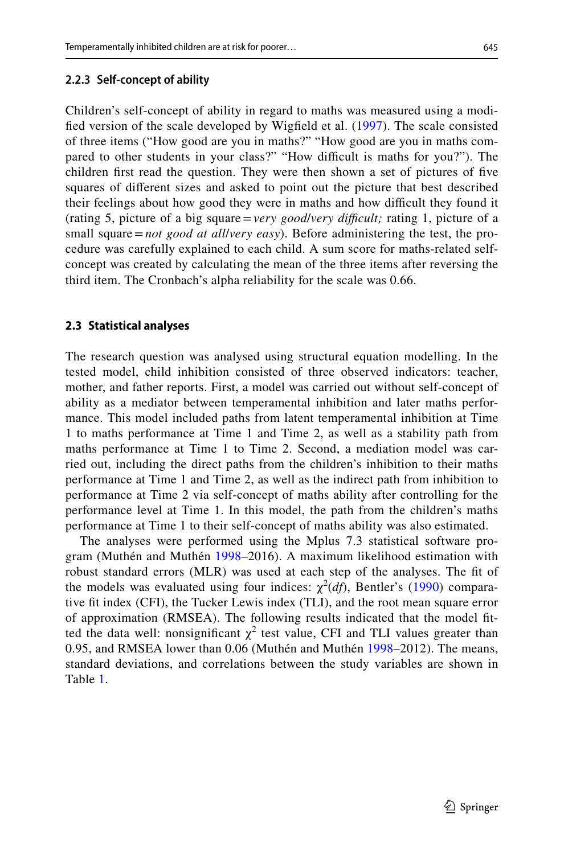#### **2.2.3 Self‑concept of ability**

Children's self-concept of ability in regard to maths was measured using a modifed version of the scale developed by Wigfeld et al. (1997). The scale consisted of three items ("How good are you in maths?" "How good are you in maths compared to other students in your class?" "How difficult is maths for you?"). The children frst read the question. They were then shown a set of pictures of fve squares of diferent sizes and asked to point out the picture that best described their feelings about how good they were in maths and how difcult they found it (rating 5, picture of a big square=*very good*/*very difcult;* rating 1, picture of a small square=*not good at all*/*very easy*). Before administering the test, the procedure was carefully explained to each child. A sum score for maths-related selfconcept was created by calculating the mean of the three items after reversing the third item. The Cronbach's alpha reliability for the scale was 0.66.

#### **2.3 Statistical analyses**

The research question was analysed using structural equation modelling. In the tested model, child inhibition consisted of three observed indicators: teacher, mother, and father reports. First, a model was carried out without self-concept of ability as a mediator between temperamental inhibition and later maths performance. This model included paths from latent temperamental inhibition at Time 1 to maths performance at Time 1 and Time 2, as well as a stability path from maths performance at Time 1 to Time 2. Second, a mediation model was carried out, including the direct paths from the children's inhibition to their maths performance at Time 1 and Time 2, as well as the indirect path from inhibition to performance at Time 2 via self-concept of maths ability after controlling for the performance level at Time 1. In this model, the path from the children's maths performance at Time 1 to their self-concept of maths ability was also estimated.

The analyses were performed using the Mplus 7.3 statistical software program (Muthén and Muthén 1998–2016). A maximum likelihood estimation with robust standard errors (MLR) was used at each step of the analyses. The ft of the models was evaluated using four indices:  $\chi^2(df)$ , Bentler's (1990) comparative ft index (CFI), the Tucker Lewis index (TLI), and the root mean square error of approximation (RMSEA). The following results indicated that the model ftted the data well: nonsignificant  $\chi^2$  test value, CFI and TLI values greater than 0.95, and RMSEA lower than 0.06 (Muthén and Muthén 1998–2012). The means, standard deviations, and correlations between the study variables are shown in Table 1.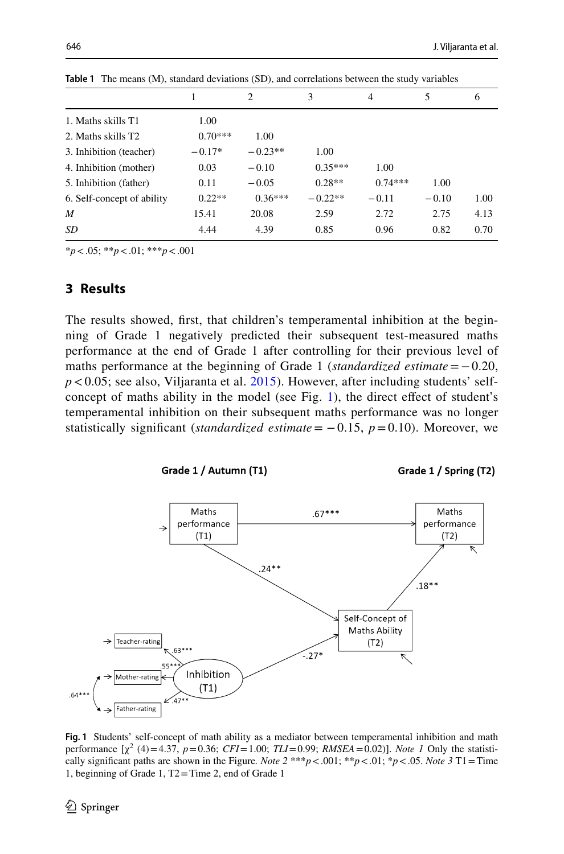|                            |           | 2         | 3         | 4         | 5       | 6    |
|----------------------------|-----------|-----------|-----------|-----------|---------|------|
|                            |           |           |           |           |         |      |
| 1. Maths skills T1         | 1.00      |           |           |           |         |      |
| 2. Maths skills T2         | $0.70***$ | 1.00      |           |           |         |      |
| 3. Inhibition (teacher)    | $-0.17*$  | $-0.23**$ | 1.00      |           |         |      |
| 4. Inhibition (mother)     | 0.03      | $-0.10$   | $0.35***$ | 1.00      |         |      |
| 5. Inhibition (father)     | 0.11      | $-0.05$   | $0.28**$  | $0.74***$ | 1.00    |      |
| 6. Self-concept of ability | $0.22**$  | $0.36***$ | $-0.22**$ | $-0.11$   | $-0.10$ | 1.00 |
| $\boldsymbol{M}$           | 15.41     | 20.08     | 2.59      | 2.72      | 2.75    | 4.13 |
| SD                         | 4.44      | 4.39      | 0.85      | 0.96      | 0.82    | 0.70 |

**Table 1** The means (M), standard deviations (SD), and correlations between the study variables

\**p*<.05; \*\**p*<.01; \*\*\**p*<.001

### **3 Results**

The results showed, frst, that children's temperamental inhibition at the beginning of Grade 1 negatively predicted their subsequent test-measured maths performance at the end of Grade 1 after controlling for their previous level of maths performance at the beginning of Grade 1 (*standardized estimate*=−0.20,  $p$ <0.05; see also, Viljaranta et al.  $2015$ ). However, after including students' selfconcept of maths ability in the model (see Fig. 1), the direct effect of student's temperamental inhibition on their subsequent maths performance was no longer statistically significant (*standardized estimate* =  $-0.15$ ,  $p = 0.10$ ). Moreover, we



Grade 1 / Spring (T2)



**Fig. 1** Students' self-concept of math ability as a mediator between temperamental inhibition and math performance  $[\chi^2 (4) = 4.37, p = 0.36; CFI = 1.00; TLI = 0.99; RMSEA = 0.02]$ . *Note 1* Only the statistically signifcant paths are shown in the Figure*. Note 2* \*\*\**p*<.001; \*\**p*<.01; \**p*<.05. *Note 3* T1=Time 1, beginning of Grade 1, T2=Time 2, end of Grade 1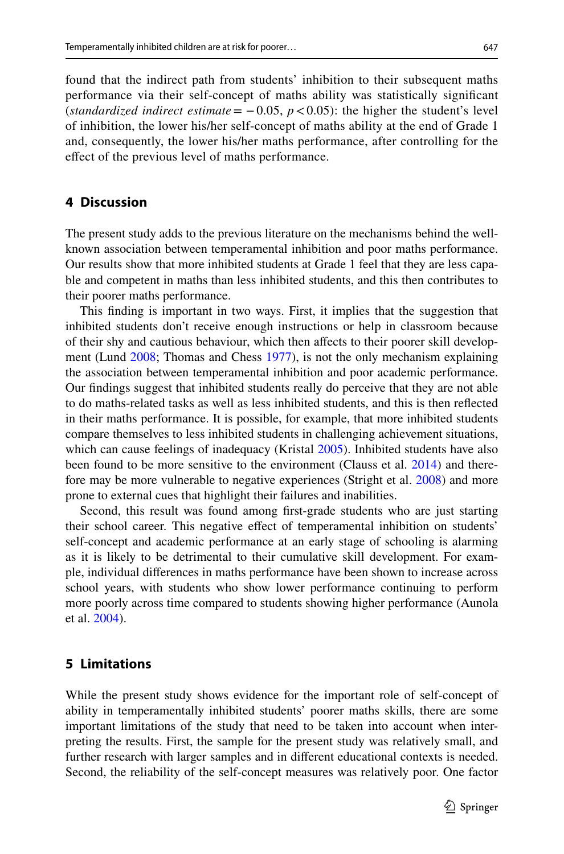found that the indirect path from students' inhibition to their subsequent maths performance via their self-concept of maths ability was statistically signifcant (*standardized indirect estimate* =  $-0.05$ ,  $p < 0.05$ ): the higher the student's level of inhibition, the lower his/her self-concept of maths ability at the end of Grade 1 and, consequently, the lower his/her maths performance, after controlling for the efect of the previous level of maths performance.

## **4 Discussion**

The present study adds to the previous literature on the mechanisms behind the wellknown association between temperamental inhibition and poor maths performance. Our results show that more inhibited students at Grade 1 feel that they are less capable and competent in maths than less inhibited students, and this then contributes to their poorer maths performance.

This fnding is important in two ways. First, it implies that the suggestion that inhibited students don't receive enough instructions or help in classroom because of their shy and cautious behaviour, which then afects to their poorer skill development (Lund 2008; Thomas and Chess 1977), is not the only mechanism explaining the association between temperamental inhibition and poor academic performance. Our fndings suggest that inhibited students really do perceive that they are not able to do maths-related tasks as well as less inhibited students, and this is then refected in their maths performance. It is possible, for example, that more inhibited students compare themselves to less inhibited students in challenging achievement situations, which can cause feelings of inadequacy (Kristal 2005). Inhibited students have also been found to be more sensitive to the environment (Clauss et al. 2014) and therefore may be more vulnerable to negative experiences (Stright et al. 2008) and more prone to external cues that highlight their failures and inabilities.

Second, this result was found among frst-grade students who are just starting their school career. This negative efect of temperamental inhibition on students' self-concept and academic performance at an early stage of schooling is alarming as it is likely to be detrimental to their cumulative skill development. For example, individual diferences in maths performance have been shown to increase across school years, with students who show lower performance continuing to perform more poorly across time compared to students showing higher performance (Aunola et al. 2004).

#### **5 Limitations**

While the present study shows evidence for the important role of self-concept of ability in temperamentally inhibited students' poorer maths skills, there are some important limitations of the study that need to be taken into account when interpreting the results. First, the sample for the present study was relatively small, and further research with larger samples and in diferent educational contexts is needed. Second, the reliability of the self-concept measures was relatively poor. One factor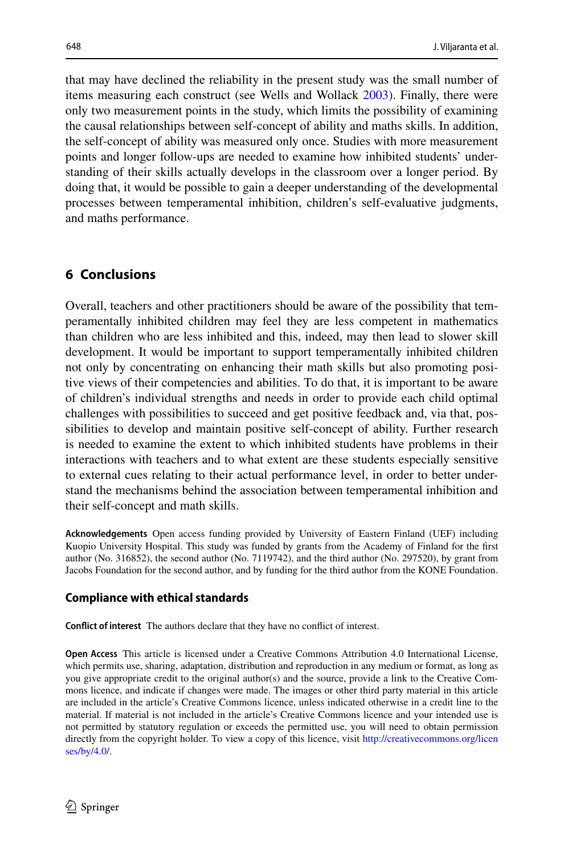that may have declined the reliability in the present study was the small number of items measuring each construct (see Wells and Wollack 2003). Finally, there were only two measurement points in the study, which limits the possibility of examining the causal relationships between self-concept of ability and maths skills. In addition, the self-concept of ability was measured only once. Studies with more measurement points and longer follow-ups are needed to examine how inhibited students' understanding of their skills actually develops in the classroom over a longer period. By doing that, it would be possible to gain a deeper understanding of the developmental processes between temperamental inhibition, children's self-evaluative judgments, and maths performance.

# **6 Conclusions**

Overall, teachers and other practitioners should be aware of the possibility that temperamentally inhibited children may feel they are less competent in mathematics than children who are less inhibited and this, indeed, may then lead to slower skill development. It would be important to support temperamentally inhibited children not only by concentrating on enhancing their math skills but also promoting positive views of their competencies and abilities. To do that, it is important to be aware of children's individual strengths and needs in order to provide each child optimal challenges with possibilities to succeed and get positive feedback and, via that, possibilities to develop and maintain positive self-concept of ability. Further research is needed to examine the extent to which inhibited students have problems in their interactions with teachers and to what extent are these students especially sensitive to external cues relating to their actual performance level, in order to better understand the mechanisms behind the association between temperamental inhibition and their self-concept and math skills.

**Acknowledgements** Open access funding provided by University of Eastern Finland (UEF) including Kuopio University Hospital. This study was funded by grants from the Academy of Finland for the frst author (No. 316852), the second author (No. 7119742), and the third author (No. 297520), by grant from Jacobs Foundation for the second author, and by funding for the third author from the KONE Foundation.

#### **Compliance with ethical standards**

**Confict of interest** The authors declare that they have no confict of interest.

**Open Access** This article is licensed under a Creative Commons Attribution 4.0 International License, which permits use, sharing, adaptation, distribution and reproduction in any medium or format, as long as you give appropriate credit to the original author(s) and the source, provide a link to the Creative Commons licence, and indicate if changes were made. The images or other third party material in this article are included in the article's Creative Commons licence, unless indicated otherwise in a credit line to the material. If material is not included in the article's Creative Commons licence and your intended use is not permitted by statutory regulation or exceeds the permitted use, you will need to obtain permission directly from the copyright holder. To view a copy of this licence, visit [http://creativecommons.org/licen](http://creativecommons.org/licenses/by/4.0/) [ses/by/4.0/](http://creativecommons.org/licenses/by/4.0/).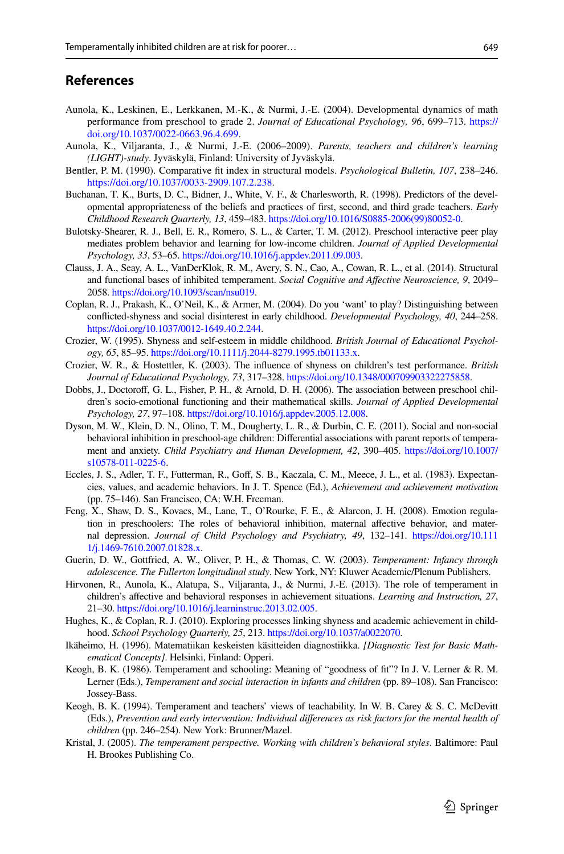#### **References**

- Aunola, K., Leskinen, E., Lerkkanen, M.-K., & Nurmi, J.-E. (2004). Developmental dynamics of math performance from preschool to grade 2. *Journal of Educational Psychology, 96*, 699–713. [https://](https://doi.org/10.1037/0022-0663.96.4.699) [doi.org/10.1037/0022-0663.96.4.699.](https://doi.org/10.1037/0022-0663.96.4.699)
- Aunola, K., Viljaranta, J., & Nurmi, J.-E. (2006–2009). *Parents, teachers and children's learning (LIGHT)-study*. Jyväskylä, Finland: University of Jyväskylä.
- Bentler, P. M. (1990). Comparative ft index in structural models. *Psychological Bulletin, 107*, 238–246. <https://doi.org/10.1037/0033-2909.107.2.238>.
- Buchanan, T. K., Burts, D. C., Bidner, J., White, V. F., & Charlesworth, R. (1998). Predictors of the developmental appropriateness of the beliefs and practices of frst, second, and third grade teachers. *Early Childhood Research Quarterly, 13*, 459–483. [https://doi.org/10.1016/S0885-2006\(99\)80052-0.](https://doi.org/10.1016/S0885-2006(99)80052-0)
- Bulotsky-Shearer, R. J., Bell, E. R., Romero, S. L., & Carter, T. M. (2012). Preschool interactive peer play mediates problem behavior and learning for low-income children. *Journal of Applied Developmental Psychology, 33*, 53–65.<https://doi.org/10.1016/j.appdev.2011.09.003>.
- Clauss, J. A., Seay, A. L., VanDerKlok, R. M., Avery, S. N., Cao, A., Cowan, R. L., et al. (2014). Structural and functional bases of inhibited temperament. *Social Cognitive and Afective Neuroscience, 9*, 2049– 2058.<https://doi.org/10.1093/scan/nsu019>.
- Coplan, R. J., Prakash, K., O'Neil, K., & Armer, M. (2004). Do you 'want' to play? Distinguishing between conficted-shyness and social disinterest in early childhood. *Developmental Psychology, 40*, 244–258. <https://doi.org/10.1037/0012-1649.40.2.244>.
- Crozier, W. (1995). Shyness and self-esteem in middle childhood. *British Journal of Educational Psychology, 65*, 85–95. [https://doi.org/10.1111/j.2044-8279.1995.tb01133.x.](https://doi.org/10.1111/j.2044-8279.1995.tb01133.x)
- Crozier, W. R., & Hostettler, K. (2003). The infuence of shyness on children's test performance. *British Journal of Educational Psychology, 73*, 317–328. <https://doi.org/10.1348/000709903322275858>.
- Dobbs, J., Doctoroff, G. L., Fisher, P. H., & Arnold, D. H. (2006). The association between preschool children's socio-emotional functioning and their mathematical skills. *Journal of Applied Developmental Psychology, 27*, 97–108. [https://doi.org/10.1016/j.appdev.2005.12.008.](https://doi.org/10.1016/j.appdev.2005.12.008)
- Dyson, M. W., Klein, D. N., Olino, T. M., Dougherty, L. R., & Durbin, C. E. (2011). Social and non-social behavioral inhibition in preschool-age children: Diferential associations with parent reports of temperament and anxiety. *Child Psychiatry and Human Development, 42*, 390–405. [https://doi.org/10.1007/](https://doi.org/10.1007/s10578-011-0225-6) [s10578-011-0225-6](https://doi.org/10.1007/s10578-011-0225-6).
- Eccles, J. S., Adler, T. F., Futterman, R., Gof, S. B., Kaczala, C. M., Meece, J. L., et al. (1983). Expectancies, values, and academic behaviors. In J. T. Spence (Ed.), *Achievement and achievement motivation* (pp. 75–146). San Francisco, CA: W.H. Freeman.
- Feng, X., Shaw, D. S., Kovacs, M., Lane, T., O'Rourke, F. E., & Alarcon, J. H. (2008). Emotion regulation in preschoolers: The roles of behavioral inhibition, maternal afective behavior, and maternal depression. *Journal of Child Psychology and Psychiatry, 49*, 132–141. [https://doi.org/10.111](https://doi.org/10.1111/j.1469-7610.2007.01828.x) [1/j.1469-7610.2007.01828.x](https://doi.org/10.1111/j.1469-7610.2007.01828.x).
- Guerin, D. W., Gottfried, A. W., Oliver, P. H., & Thomas, C. W. (2003). *Temperament: Infancy through adolescence. The Fullerton longitudinal study*. New York, NY: Kluwer Academic/Plenum Publishers.
- Hirvonen, R., Aunola, K., Alatupa, S., Viljaranta, J., & Nurmi, J.-E. (2013). The role of temperament in children's afective and behavioral responses in achievement situations. *Learning and Instruction, 27*, 21–30.<https://doi.org/10.1016/j.learninstruc.2013.02.005>.
- Hughes, K., & Coplan, R. J. (2010). Exploring processes linking shyness and academic achievement in childhood. *School Psychology Quarterly, 25*, 213. [https://doi.org/10.1037/a0022070.](https://doi.org/10.1037/a0022070)
- Ikäheimo, H. (1996). Matematiikan keskeisten käsitteiden diagnostiikka. *[Diagnostic Test for Basic Mathematical Concepts]*. Helsinki, Finland: Opperi.
- Keogh, B. K. (1986). Temperament and schooling: Meaning of "goodness of ft"? In J. V. Lerner & R. M. Lerner (Eds.), *Temperament and social interaction in infants and children* (pp. 89–108). San Francisco: Jossey-Bass.
- Keogh, B. K. (1994). Temperament and teachers' views of teachability. In W. B. Carey & S. C. McDevitt (Eds.), *Prevention and early intervention: Individual diferences as risk factors for the mental health of children* (pp. 246–254). New York: Brunner/Mazel.
- Kristal, J. (2005). *The temperament perspective. Working with children's behavioral styles*. Baltimore: Paul H. Brookes Publishing Co.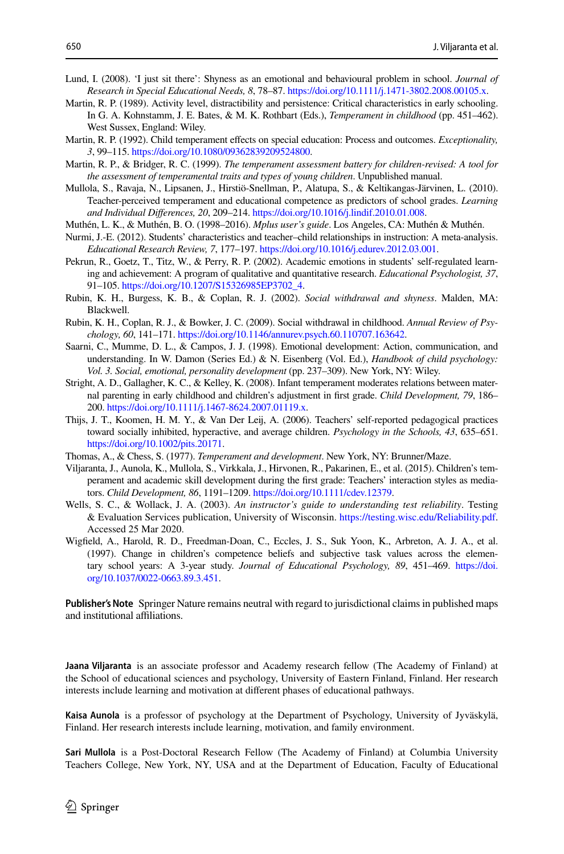- Lund, I. (2008). 'I just sit there': Shyness as an emotional and behavioural problem in school. *Journal of Research in Special Educational Needs, 8*, 78–87.<https://doi.org/10.1111/j.1471-3802.2008.00105.x>.
- Martin, R. P. (1989). Activity level, distractibility and persistence: Critical characteristics in early schooling. In G. A. Kohnstamm, J. E. Bates, & M. K. Rothbart (Eds.), *Temperament in childhood* (pp. 451–462). West Sussex, England: Wiley.
- Martin, R. P. (1992). Child temperament efects on special education: Process and outcomes. *Exceptionality, 3*, 99–115. [https://doi.org/10.1080/09362839209524800.](https://doi.org/10.1080/09362839209524800)
- Martin, R. P., & Bridger, R. C. (1999). *The temperament assessment battery for children-revised: A tool for the assessment of temperamental traits and types of young children*. Unpublished manual.
- Mullola, S., Ravaja, N., Lipsanen, J., Hirstiö-Snellman, P., Alatupa, S., & Keltikangas-Järvinen, L. (2010). Teacher-perceived temperament and educational competence as predictors of school grades. *Learning and Individual Diferences, 20*, 209–214. [https://doi.org/10.1016/j.lindif.2010.01.008.](https://doi.org/10.1016/j.lindif.2010.01.008)
- Muthén, L. K., & Muthén, B. O. (1998–2016). *Mplus user's guide*. Los Angeles, CA: Muthén & Muthén.
- Nurmi, J.-E. (2012). Students' characteristics and teacher–child relationships in instruction: A meta-analysis. *Educational Research Review, 7*, 177–197.<https://doi.org/10.1016/j.edurev.2012.03.001>.
- Pekrun, R., Goetz, T., Titz, W., & Perry, R. P. (2002). Academic emotions in students' self-regulated learning and achievement: A program of qualitative and quantitative research. *Educational Psychologist, 37*, 91–105. [https://doi.org/10.1207/S15326985EP3702\\_4.](https://doi.org/10.1207/S15326985EP3702_4)
- Rubin, K. H., Burgess, K. B., & Coplan, R. J. (2002). *Social withdrawal and shyness*. Malden, MA: Blackwell.
- Rubin, K. H., Coplan, R. J., & Bowker, J. C. (2009). Social withdrawal in childhood. *Annual Review of Psychology, 60*, 141–171. <https://doi.org/10.1146/annurev.psych.60.110707.163642>.
- Saarni, C., Mumme, D. L., & Campos, J. J. (1998). Emotional development: Action, communication, and understanding. In W. Damon (Series Ed.) & N. Eisenberg (Vol. Ed.), *Handbook of child psychology: Vol. 3. Social, emotional, personality development* (pp. 237–309). New York, NY: Wiley.
- Stright, A. D., Gallagher, K. C., & Kelley, K. (2008). Infant temperament moderates relations between maternal parenting in early childhood and children's adjustment in frst grade. *Child Development, 79*, 186– 200.<https://doi.org/10.1111/j.1467-8624.2007.01119.x>.
- Thijs, J. T., Koomen, H. M. Y., & Van Der Leij, A. (2006). Teachers' self-reported pedagogical practices toward socially inhibited, hyperactive, and average children. *Psychology in the Schools, 43*, 635–651. <https://doi.org/10.1002/pits.20171>.
- Thomas, A., & Chess, S. (1977). *Temperament and development*. New York, NY: Brunner/Maze.
- Viljaranta, J., Aunola, K., Mullola, S., Virkkala, J., Hirvonen, R., Pakarinen, E., et al. (2015). Children's temperament and academic skill development during the frst grade: Teachers' interaction styles as mediators. *Child Development, 86*, 1191–1209.<https://doi.org/10.1111/cdev.12379>.
- Wells, S. C., & Wollack, J. A. (2003). *An instructor's guide to understanding test reliability*. Testing & Evaluation Services publication, University of Wisconsin. <https://testing.wisc.edu/Reliability.pdf>. Accessed 25 Mar 2020.
- Wigfeld, A., Harold, R. D., Freedman-Doan, C., Eccles, J. S., Suk Yoon, K., Arbreton, A. J. A., et al. (1997). Change in children's competence beliefs and subjective task values across the elementary school years: A 3-year study. *Journal of Educational Psychology, 89*, 451–469. [https://doi.](https://doi.org/10.1037/0022-0663.89.3.451) [org/10.1037/0022-0663.89.3.451](https://doi.org/10.1037/0022-0663.89.3.451).

**Publisher's Note** Springer Nature remains neutral with regard to jurisdictional claims in published maps and institutional afliations.

**Jaana Viljaranta** is an associate professor and Academy research fellow (The Academy of Finland) at the School of educational sciences and psychology, University of Eastern Finland, Finland. Her research interests include learning and motivation at diferent phases of educational pathways.

**Kaisa Aunola** is a professor of psychology at the Department of Psychology, University of Jyväskylä, Finland. Her research interests include learning, motivation, and family environment.

**Sari Mullola** is a Post-Doctoral Research Fellow (The Academy of Finland) at Columbia University Teachers College, New York, NY, USA and at the Department of Education, Faculty of Educational